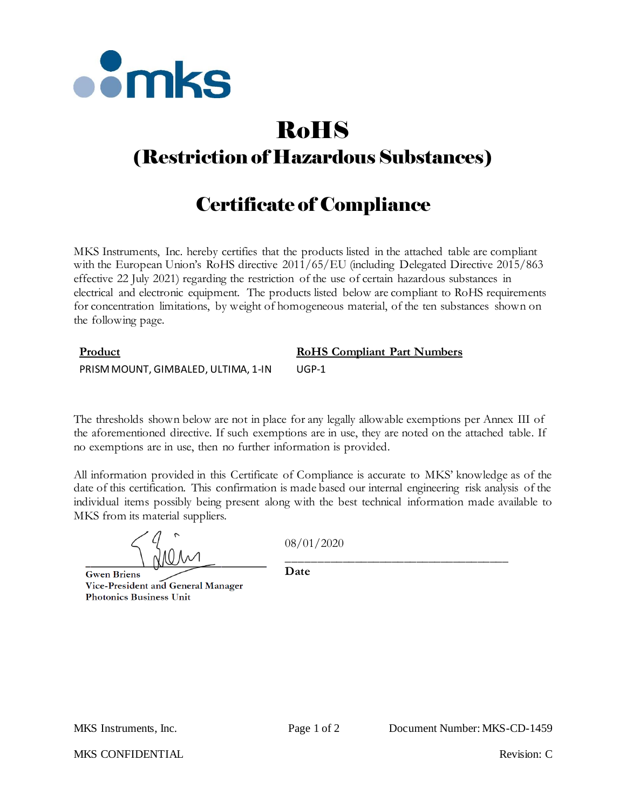

# RoHS

# (Restriction of Hazardous Substances)

# Certificate of Compliance

MKS Instruments, Inc. hereby certifies that the products listed in the attached table are compliant with the European Union's RoHS directive  $2011/65/EU$  (including Delegated Directive 2015/863 effective 22 July 2021) regarding the restriction of the use of certain hazardous substances in electrical and electronic equipment. The products listed below are compliant to RoHS requirements for concentration limitations, by weight of homogeneous material, of the ten substances shown on the following page.

## **Product RoHS Compliant Part Numbers** PRISM MOUNT, GIMBALED, ULTIMA, 1-IN UGP-1

The thresholds shown below are not in place for any legally allowable exemptions per Annex III of the aforementioned directive. If such exemptions are in use, they are noted on the attached table. If no exemptions are in use, then no further information is provided.

All information provided in this Certificate of Compliance is accurate to MKS' knowledge as of the date of this certification. This confirmation is made based our internal engineering risk analysis of the individual items possibly being present along with the best technical information made available to MKS from its material suppliers.

08/01/2020

**Gwen Briens** Vice-President and General Manager **Photonics Business Unit** 

\_\_\_\_\_\_\_\_\_\_\_\_\_\_\_\_\_\_\_\_\_\_\_\_\_\_\_\_\_\_\_\_\_\_\_\_ **Date**

MKS CONFIDENTIAL THE CONFIDENTIAL Revision: C